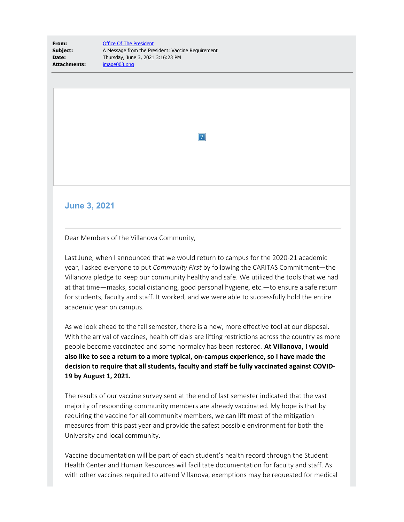| From:               | <b>Office Of The President</b>                    |
|---------------------|---------------------------------------------------|
| Subject:            | A Message from the President: Vaccine Requirement |
| Date:               | Thursday, June 3, 2021 3:16:23 PM                 |
| <b>Attachments:</b> | image003.png                                      |

 $|2|$ 

## **June 3, 2021**

Dear Members of the Villanova Community,

Last June, when I announced that we would return to campus for the 2020-21 academic year, I asked everyone to put *Community First* by following the CARITAS Commitment—the Villanova pledge to keep our community healthy and safe. We utilized the tools that we had at that time—masks, social distancing, good personal hygiene, etc.—to ensure a safe return for students, faculty and staff. It worked, and we were able to successfully hold the entire academic year on campus.

As we look ahead to the fall semester, there is a new, more effective tool at our disposal. With the arrival of vaccines, health officials are lifting restrictions across the country as more people become vaccinated and some normalcy has been restored. **At Villanova, I would also like to see a return to a more typical, on-campus experience, so I have made the decision to require that all students, faculty and staff be fully vaccinated against COVID-19 by August 1, 2021.**

The results of our vaccine survey sent at the end of last semester indicated that the vast majority of responding community members are already vaccinated. My hope is that by requiring the vaccine for all community members, we can lift most of the mitigation measures from this past year and provide the safest possible environment for both the University and local community.

Vaccine documentation will be part of each student's health record through the Student Health Center and Human Resources will facilitate documentation for faculty and staff. As with other vaccines required to attend Villanova, exemptions may be requested for medical